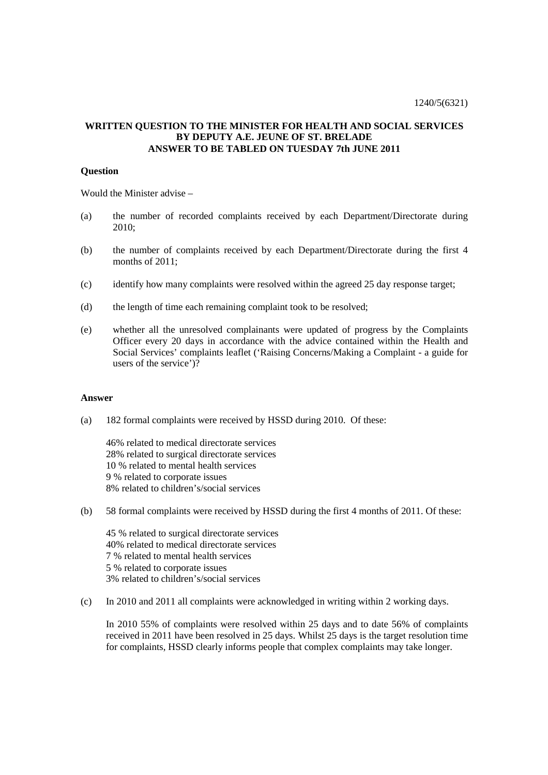## **WRITTEN QUESTION TO THE MINISTER FOR HEALTH AND SOCIAL SERVICES BY DEPUTY A.E. JEUNE OF ST. BRELADE ANSWER TO BE TABLED ON TUESDAY 7th JUNE 2011**

## **Question**

Would the Minister advise –

- (a) the number of recorded complaints received by each Department/Directorate during 2010;
- (b) the number of complaints received by each Department/Directorate during the first 4 months of 2011:
- (c) identify how many complaints were resolved within the agreed 25 day response target;
- (d) the length of time each remaining complaint took to be resolved;
- (e) whether all the unresolved complainants were updated of progress by the Complaints Officer every 20 days in accordance with the advice contained within the Health and Social Services' complaints leaflet ('Raising Concerns/Making a Complaint - a guide for users of the service')?

## **Answer**

(a) 182 formal complaints were received by HSSD during 2010. Of these:

46% related to medical directorate services 28% related to surgical directorate services 10 % related to mental health services 9 % related to corporate issues 8% related to children's/social services

(b) 58 formal complaints were received by HSSD during the first 4 months of 2011. Of these:

45 % related to surgical directorate services 40% related to medical directorate services 7 % related to mental health services 5 % related to corporate issues 3% related to children's/social services

(c) In 2010 and 2011 all complaints were acknowledged in writing within 2 working days.

In 2010 55% of complaints were resolved within 25 days and to date 56% of complaints received in 2011 have been resolved in 25 days. Whilst 25 days is the target resolution time for complaints, HSSD clearly informs people that complex complaints may take longer.